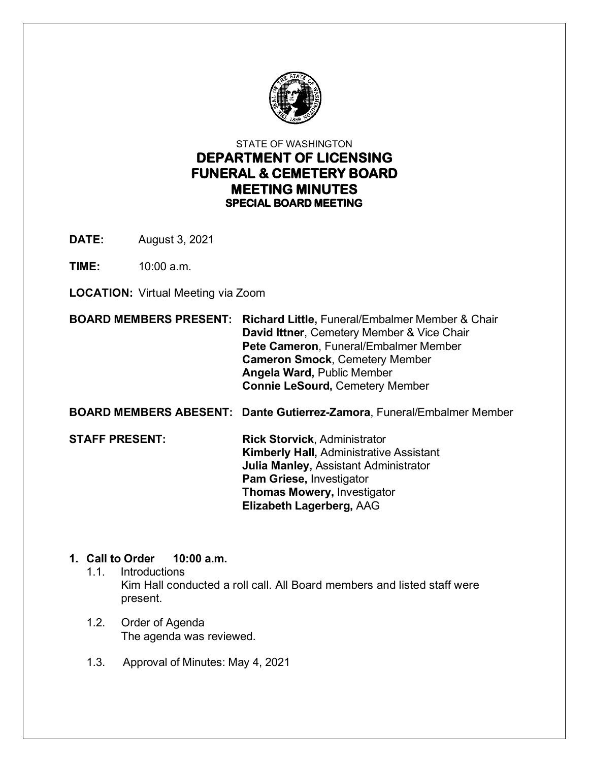

# STATE OF WASHINGTON **DEPARTMENT OF LICENSING FUNERAL & CEMETERY BOARD MEETING MINUTES SPECIAL BOARD MEETING**

**DATE:** August 3, 2021

**TIME:** 10:00 a.m.

**LOCATION:** Virtual Meeting via Zoom

**BOARD MEMBERS PRESENT: Richard Little,** Funeral/Embalmer Member & Chair **David Ittner**, Cemetery Member & Vice Chair  **Pete Cameron**, Funeral/Embalmer Member  **Cameron Smock**, Cemetery Member  **Angela Ward,** Public Member **Connie LeSourd,** Cemetery Member

**BOARD MEMBERS ABESENT: Dante Gutierrez-Zamora**, Funeral/Embalmer Member

**STAFF PRESENT: Rick Storvick**, Administrator  **Kimberly Hall,** Administrative Assistant **Julia Manley,** Assistant Administrator **Pam Griese,** Investigator **Thomas Mowery,** Investigator **Elizabeth Lagerberg,** AAG

# **1. Call to Order 10:00 a.m.**

- 1.1. Introductions Kim Hall conducted a roll call. All Board members and listed staff were present.
- 1.2. Order of Agenda The agenda was reviewed.
- 1.3. Approval of Minutes: May 4, 2021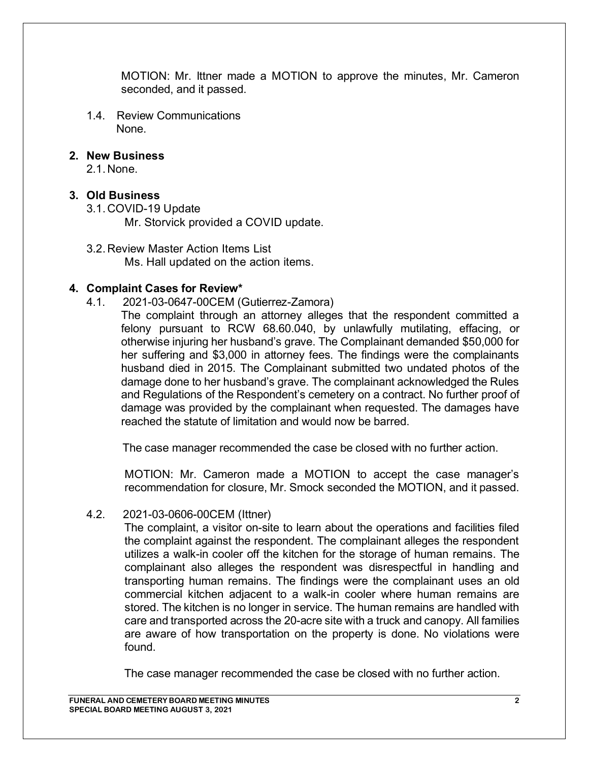MOTION: Mr. Ittner made a MOTION to approve the minutes, Mr. Cameron seconded, and it passed.

1.4. Review Communications None.

#### **2. New Business**

2.1. None.

#### **3. Old Business**

3.1. COVID-19 Update

Mr. Storvick provided a COVID update.

3.2. Review Master Action Items List Ms. Hall updated on the action items.

#### **4. Complaint Cases for Review\***

- 4.1. 2021-03-0647-00CEM (Gutierrez-Zamora)
	- The complaint through an attorney alleges that the respondent committed a felony pursuant to RCW 68.60.040, by unlawfully mutilating, effacing, or otherwise injuring her husband's grave. The Complainant demanded \$50,000 for her suffering and \$3,000 in attorney fees. The findings were the complainants husband died in 2015. The Complainant submitted two undated photos of the damage done to her husband's grave. The complainant acknowledged the Rules and Regulations of the Respondent's cemetery on a contract. No further proof of damage was provided by the complainant when requested. The damages have reached the statute of limitation and would now be barred.

The case manager recommended the case be closed with no further action.

MOTION: Mr. Cameron made a MOTION to accept the case manager's recommendation for closure, Mr. Smock seconded the MOTION, and it passed.

#### 4.2. 2021-03-0606-00CEM (Ittner)

The complaint, a visitor on-site to learn about the operations and facilities filed the complaint against the respondent. The complainant alleges the respondent utilizes a walk-in cooler off the kitchen for the storage of human remains. The complainant also alleges the respondent was disrespectful in handling and transporting human remains. The findings were the complainant uses an old commercial kitchen adjacent to a walk-in cooler where human remains are stored. The kitchen is no longer in service. The human remains are handled with care and transported across the 20-acre site with a truck and canopy. All families are aware of how transportation on the property is done. No violations were found.

The case manager recommended the case be closed with no further action.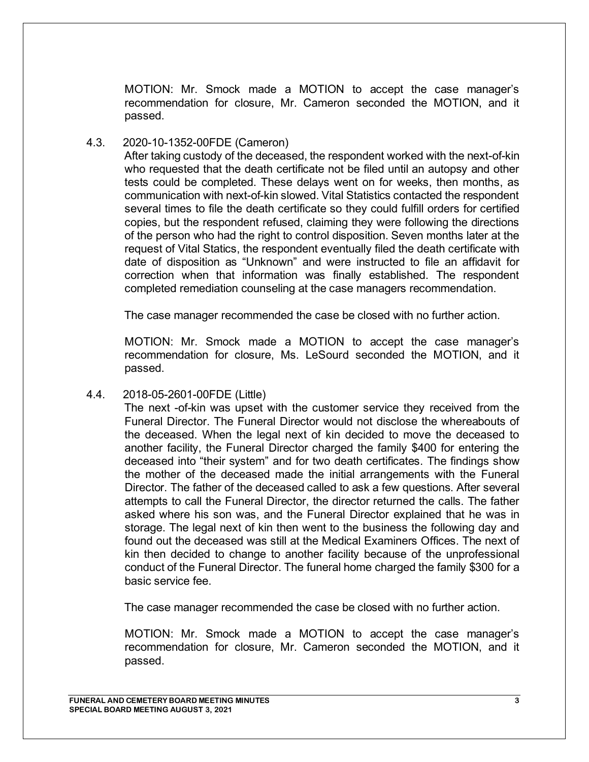MOTION: Mr. Smock made a MOTION to accept the case manager's recommendation for closure, Mr. Cameron seconded the MOTION, and it passed.

#### 4.3. 2020-10-1352-00FDE (Cameron)

After taking custody of the deceased, the respondent worked with the next-of-kin who requested that the death certificate not be filed until an autopsy and other tests could be completed. These delays went on for weeks, then months, as communication with next-of-kin slowed. Vital Statistics contacted the respondent several times to file the death certificate so they could fulfill orders for certified copies, but the respondent refused, claiming they were following the directions of the person who had the right to control disposition. Seven months later at the request of Vital Statics, the respondent eventually filed the death certificate with date of disposition as "Unknown" and were instructed to file an affidavit for correction when that information was finally established. The respondent completed remediation counseling at the case managers recommendation.

The case manager recommended the case be closed with no further action.

MOTION: Mr. Smock made a MOTION to accept the case manager's recommendation for closure, Ms. LeSourd seconded the MOTION, and it passed.

4.4. 2018-05-2601-00FDE (Little)

The next -of-kin was upset with the customer service they received from the Funeral Director. The Funeral Director would not disclose the whereabouts of the deceased. When the legal next of kin decided to move the deceased to another facility, the Funeral Director charged the family \$400 for entering the deceased into "their system" and for two death certificates. The findings show the mother of the deceased made the initial arrangements with the Funeral Director. The father of the deceased called to ask a few questions. After several attempts to call the Funeral Director, the director returned the calls. The father asked where his son was, and the Funeral Director explained that he was in storage. The legal next of kin then went to the business the following day and found out the deceased was still at the Medical Examiners Offices. The next of kin then decided to change to another facility because of the unprofessional conduct of the Funeral Director. The funeral home charged the family \$300 for a basic service fee.

The case manager recommended the case be closed with no further action.

MOTION: Mr. Smock made a MOTION to accept the case manager's recommendation for closure, Mr. Cameron seconded the MOTION, and it passed.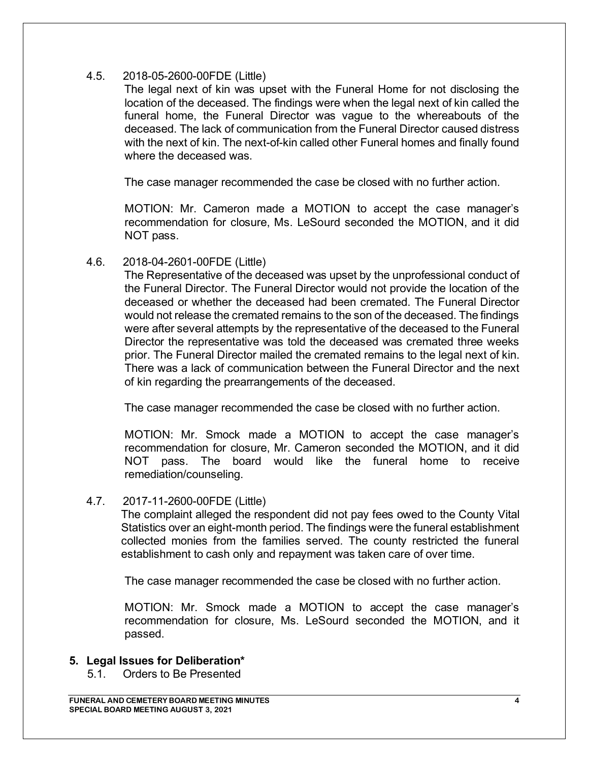## 4.5. 2018-05-2600-00FDE (Little)

The legal next of kin was upset with the Funeral Home for not disclosing the location of the deceased. The findings were when the legal next of kin called the funeral home, the Funeral Director was vague to the whereabouts of the deceased. The lack of communication from the Funeral Director caused distress with the next of kin. The next-of-kin called other Funeral homes and finally found where the deceased was.

The case manager recommended the case be closed with no further action.

MOTION: Mr. Cameron made a MOTION to accept the case manager's recommendation for closure, Ms. LeSourd seconded the MOTION, and it did NOT pass.

4.6. 2018-04-2601-00FDE (Little)

The Representative of the deceased was upset by the unprofessional conduct of the Funeral Director. The Funeral Director would not provide the location of the deceased or whether the deceased had been cremated. The Funeral Director would not release the cremated remains to the son of the deceased. The findings were after several attempts by the representative of the deceased to the Funeral Director the representative was told the deceased was cremated three weeks prior. The Funeral Director mailed the cremated remains to the legal next of kin. There was a lack of communication between the Funeral Director and the next of kin regarding the prearrangements of the deceased.

The case manager recommended the case be closed with no further action.

MOTION: Mr. Smock made a MOTION to accept the case manager's recommendation for closure, Mr. Cameron seconded the MOTION, and it did NOT pass. The board would like the funeral home to receive remediation/counseling.

#### 4.7. 2017-11-2600-00FDE (Little)

The complaint alleged the respondent did not pay fees owed to the County Vital Statistics over an eight-month period. The findings were the funeral establishment collected monies from the families served. The county restricted the funeral establishment to cash only and repayment was taken care of over time.

The case manager recommended the case be closed with no further action.

MOTION: Mr. Smock made a MOTION to accept the case manager's recommendation for closure, Ms. LeSourd seconded the MOTION, and it passed.

#### **5. Legal Issues for Deliberation\***

5.1. Orders to Be Presented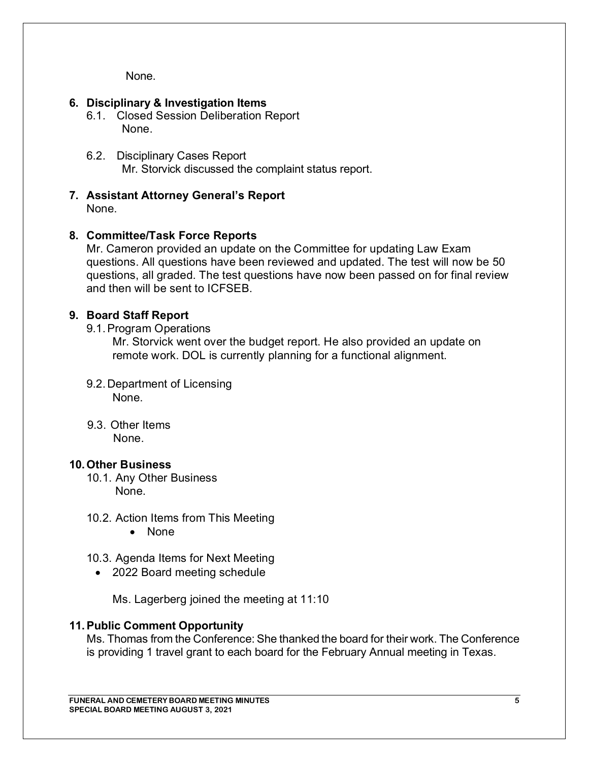None.

## **6. Disciplinary & Investigation Items**

- 6.1. Closed Session Deliberation Report None.
- 6.2. Disciplinary Cases Report Mr. Storvick discussed the complaint status report.
- **7. Assistant Attorney General's Report** None.

#### **8. Committee/Task Force Reports**

Mr. Cameron provided an update on the Committee for updating Law Exam questions. All questions have been reviewed and updated. The test will now be 50 questions, all graded. The test questions have now been passed on for final review and then will be sent to ICFSEB.

## **9. Board Staff Report**

9.1.Program Operations

Mr. Storvick went over the budget report. He also provided an update on remote work. DOL is currently planning for a functional alignment.

- 9.2. Department of Licensing None.
- 9.3. Other Items None.

#### **10.Other Business**

- 10.1. Any Other Business None.
- 10.2. Action Items from This Meeting
	- None
- 10.3. Agenda Items for Next Meeting
	- 2022 Board meeting schedule
		- Ms. Lagerberg joined the meeting at 11:10

#### **11.Public Comment Opportunity**

Ms. Thomas from the Conference: She thanked the board for their work. The Conference is providing 1 travel grant to each board for the February Annual meeting in Texas.